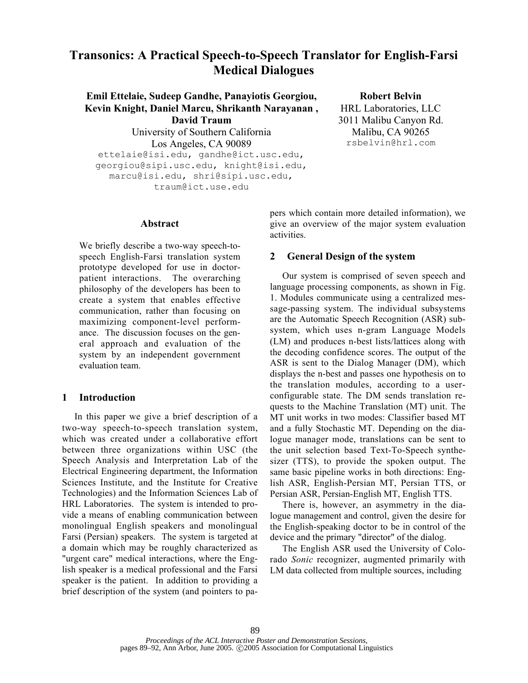# Transonics: A Practical Speech-to-Speech Translator for English-Farsi Medical Dialogues

Emil Ettelaie, Sudeep Gandhe, Panayiotis Georgiou, Kevin Knight, Daniel Marcu, Shrikanth Narayanan , David Traum University of Southern California Los Angeles, CA 90089 ettelaie@isi.edu, gandhe@ict.usc.edu, georgiou@sipi.usc.edu, knight@isi.edu, marcu@isi.edu, shri@sipi.usc.edu, traum@ict.use.edu

Robert Belvin HRL Laboratories, LLC 3011 Malibu Canyon Rd. Malibu, CA 90265 rsbelvin@hrl.com

## Abstract

We briefly describe a two-way speech-tospeech English-Farsi translation system prototype developed for use in doctorpatient interactions. The overarching philosophy of the developers has been to create a system that enables effective communication, rather than focusing on maximizing component-level performance. The discussion focuses on the general approach and evaluation of the system by an independent government evaluation team.

## 1 Introduction

In this paper we give a brief description of a two-way speech-to-speech translation system, which was created under a collaborative effort between three organizations within USC (the Speech Analysis and Interpretation Lab of the Electrical Engineering department, the Information Sciences Institute, and the Institute for Creative Technologies) and the Information Sciences Lab of HRL Laboratories. The system is intended to provide a means of enabling communication between monolingual English speakers and monolingual Farsi (Persian) speakers. The system is targeted at a domain which may be roughly characterized as "urgent care" medical interactions, where the English speaker is a medical professional and the Farsi speaker is the patient. In addition to providing a brief description of the system (and pointers to papers which contain more detailed information), we give an overview of the major system evaluation activities.

## 2 General Design of the system

Our system is comprised of seven speech and language processing components, as shown in Fig. 1. Modules communicate using a centralized message-passing system. The individual subsystems are the Automatic Speech Recognition (ASR) subsystem, which uses n-gram Language Models (LM) and produces n-best lists/lattices along with the decoding confidence scores. The output of the ASR is sent to the Dialog Manager (DM), which displays the n-best and passes one hypothesis on to the translation modules, according to a userconfigurable state. The DM sends translation requests to the Machine Translation (MT) unit. The MT unit works in two modes: Classifier based MT and a fully Stochastic MT. Depending on the dialogue manager mode, translations can be sent to the unit selection based Text-To-Speech synthesizer (TTS), to provide the spoken output. The same basic pipeline works in both directions: English ASR, English-Persian MT, Persian TTS, or Persian ASR, Persian-English MT, English TTS.

There is, however, an asymmetry in the dialogue management and control, given the desire for the English-speaking doctor to be in control of the device and the primary "director" of the dialog.

The English ASR used the University of Colorado *Sonic* recognizer, augmented primarily with LM data collected from multiple sources, including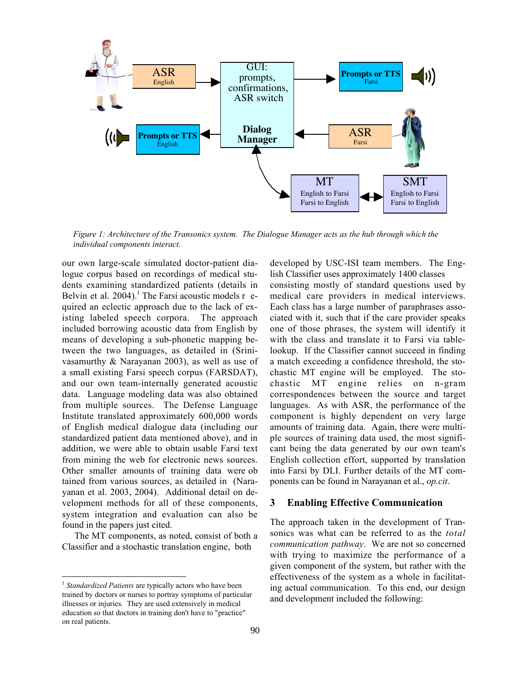

*Figure 1: Architecture of the Transonics system. The Dialogue Manager acts as the hub through which the individual components interact.*

our own large-scale simulated doctor-patient dialogue corpus based on recordings of medical students examining standardized patients (details in Belvin et al.  $2004$ .<sup>1</sup> The Farsi acoustic models r equired an eclectic approach due to the lack of existing labeled speech corpora. The approach included borrowing acoustic data from English by means of developing a sub-phonetic mapping between the two languages, as detailed in (Srinivasamurthy & Narayanan 2003), as well as use of a small existing Farsi speech corpus (FARSDAT), and our own team-internally generated acoustic data. Language modeling data was also obtained from multiple sources. The Defense Language Institute translated approximately 600,000 words of English medical dialogue data (including our standardized patient data mentioned above), and in addition, we were able to obtain usable Farsi text from mining the web for electronic news sources. Other smaller amounts of training data were ob tained from various sources, as detailed in (Narayanan et al. 2003, 2004). Additional detail on development methods for all of these components, system integration and evaluation can also be found in the papers just cited.

The MT components, as noted, consist of both a Classifier and a stochastic translation engine, both

developed by USC-ISI team members. The English Classifier uses approximately 1400 classes consisting mostly of standard questions used by medical care providers in medical interviews. Each class has a large number of paraphrases associated with it, such that if the care provider speaks one of those phrases, the system will identify it with the class and translate it to Farsi via tablelookup. If the Classifier cannot succeed in finding a match exceeding a confidence threshold, the stochastic MT engine will be employed. The stochastic MT engine relies on n-gram correspondences between the source and target languages. As with ASR, the performance of the component is highly dependent on very large amounts of training data. Again, there were multiple sources of training data used, the most significant being the data generated by our own team's English collection effort, supported by translation into Farsi by DLI. Further details of the MT components can be found in Narayanan et al., *op.cit*.

### 3 Enabling Effective Communication

The approach taken in the development of Transonics was what can be referred to as the *total communication pathway*. We are not so concerned with trying to maximize the performance of a given component of the system, but rather with the effectiveness of the system as a whole in facilitating actual communication. To this end, our design and development included the following:

<sup>&</sup>lt;sup>1</sup> Standardized Patients are typically actors who have been trained by doctors or nurses to portray symptoms of particular illnesses or injuries. They are used extensively in medical education so that doctors in training don't have to "practice" on real patients.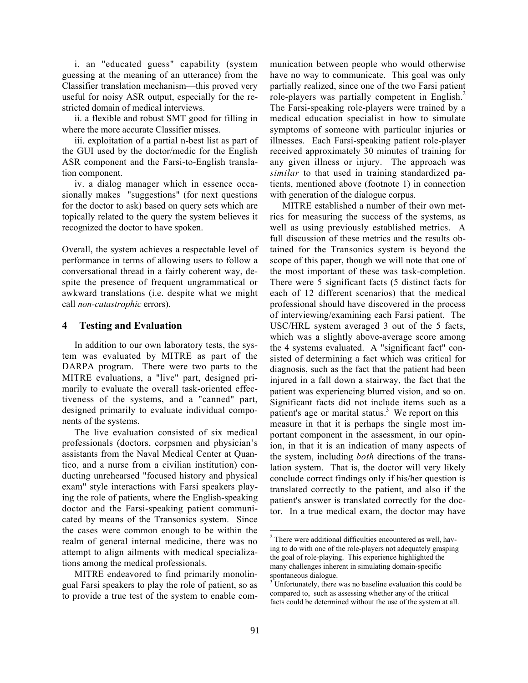i. an "educated guess" capability (system guessing at the meaning of an utterance) from the Classifier translation mechanism—this proved very useful for noisy ASR output, especially for the restricted domain of medical interviews.

ii. a flexible and robust SMT good for filling in where the more accurate Classifier misses.

iii. exploitation of a partial n-best list as part of the GUI used by the doctor/medic for the English ASR component and the Farsi-to-English translation component.

iv. a dialog manager which in essence occasionally makes "suggestions" (for next questions for the doctor to ask) based on query sets which are topically related to the query the system believes it recognized the doctor to have spoken.

Overall, the system achieves a respectable level of performance in terms of allowing users to follow a conversational thread in a fairly coherent way, despite the presence of frequent ungrammatical or awkward translations (i.e. despite what we might call *non-catastrophic* errors).

#### 4 Testing and Evaluation

In addition to our own laboratory tests, the system was evaluated by MITRE as part of the DARPA program. There were two parts to the MITRE evaluations, a "live" part, designed primarily to evaluate the overall task-oriented effectiveness of the systems, and a "canned" part, designed primarily to evaluate individual components of the systems.

The live evaluation consisted of six medical professionals (doctors, corpsmen and physician's assistants from the Naval Medical Center at Quantico, and a nurse from a civilian institution) conducting unrehearsed "focused history and physical exam" style interactions with Farsi speakers playing the role of patients, where the English-speaking doctor and the Farsi-speaking patient communicated by means of the Transonics system. Since the cases were common enough to be within the realm of general internal medicine, there was no attempt to align ailments with medical specializations among the medical professionals.

MITRE endeavored to find primarily monolingual Farsi speakers to play the role of patient, so as to provide a true test of the system to enable communication between people who would otherwise have no way to communicate. This goal was only partially realized, since one of the two Farsi patient role-players was partially competent in English. $<sup>2</sup>$ </sup> The Farsi-speaking role-players were trained by a medical education specialist in how to simulate symptoms of someone with particular injuries or illnesses. Each Farsi-speaking patient role-player received approximately 30 minutes of training for any given illness or injury. The approach was *similar* to that used in training standardized patients, mentioned above (footnote 1) in connection with generation of the dialogue corpus.

MITRE established a number of their own metrics for measuring the success of the systems, as well as using previously established metrics. A full discussion of these metrics and the results obtained for the Transonics system is beyond the scope of this paper, though we will note that one of the most important of these was task-completion. There were 5 significant facts (5 distinct facts for each of 12 different scenarios) that the medical professional should have discovered in the process of interviewing/examining each Farsi patient. The USC/HRL system averaged 3 out of the 5 facts, which was a slightly above-average score among the 4 systems evaluated. A "significant fact" consisted of determining a fact which was critical for diagnosis, such as the fact that the patient had been injured in a fall down a stairway, the fact that the patient was experiencing blurred vision, and so on. Significant facts did not include items such as a patient's age or marital status.<sup>3</sup> We report on this measure in that it is perhaps the single most important component in the assessment, in our opinion, in that it is an indication of many aspects of the system, including *both* directions of the translation system. That is, the doctor will very likely conclude correct findings only if his/her question is translated correctly to the patient, and also if the patient's answer is translated correctly for the doctor. In a true medical exam, the doctor may have

<sup>&</sup>lt;sup>2</sup>  $2$  There were additional difficulties encountered as well, having to do with one of the role-players not adequately grasping the goal of role-playing. This experience highlighted the many challenges inherent in simulating domain-specific spontaneous dialogue.

<sup>&</sup>lt;sup>3</sup>Unfortunately, there was no baseline evaluation this could be compared to, such as assessing whether any of the critical facts could be determined without the use of the system at all.